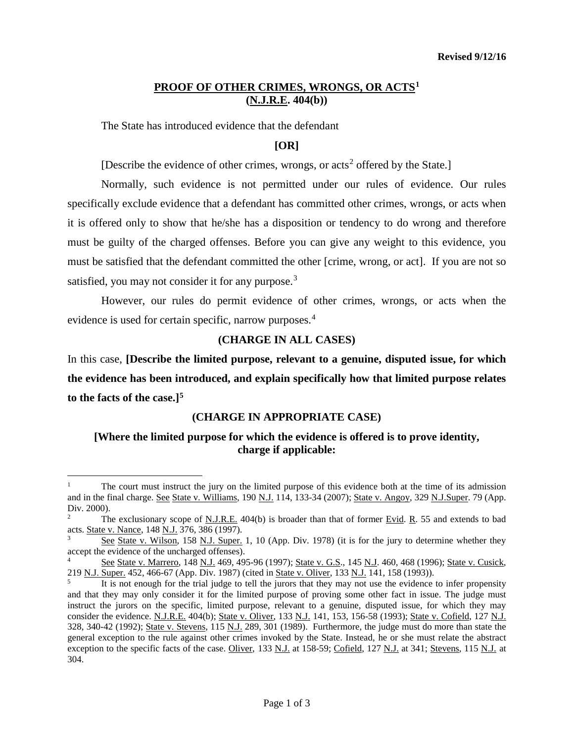# **PROOF OF OTHER CRIMES, WRONGS, OR ACTS[1](#page-0-0) (N.J.R.E. 404(b))**

The State has introduced evidence that the defendant

# **[OR]**

[Describe the evidence of other crimes, wrongs, or  $\arccos 2$  $\arccos 2$  offered by the State.]

Normally, such evidence is not permitted under our rules of evidence. Our rules specifically exclude evidence that a defendant has committed other crimes, wrongs, or acts when it is offered only to show that he/she has a disposition or tendency to do wrong and therefore must be guilty of the charged offenses. Before you can give any weight to this evidence, you must be satisfied that the defendant committed the other [crime, wrong, or act]. If you are not so satisfied, you may not consider it for any purpose.<sup>[3](#page-0-2)</sup>

However, our rules do permit evidence of other crimes, wrongs, or acts when the evidence is used for certain specific, narrow purposes.<sup>[4](#page-0-3)</sup>

## **(CHARGE IN ALL CASES)**

In this case, **[Describe the limited purpose, relevant to a genuine, disputed issue, for which the evidence has been introduced, and explain specifically how that limited purpose relates to the facts of the case.][5](#page-0-4)**

## **(CHARGE IN APPROPRIATE CASE)**

# **[Where the limited purpose for which the evidence is offered is to prove identity, charge if applicable:**

<span id="page-0-0"></span> <sup>1</sup> The court must instruct the jury on the limited purpose of this evidence both at the time of its admission and in the final charge. See State v. Williams, 190 N.J. 114, 133-34 (2007); State v. Angoy, 329 N.J.Super. 79 (App. Div. 2000).

<span id="page-0-1"></span>The exclusionary scope of N.J.R.E. 404(b) is broader than that of former Evid. R. 55 and extends to bad acts. State v. Nance, 148 N.J. 376, 386 (1997).

<span id="page-0-2"></span>See State v. Wilson, 158 N.J. Super. 1, 10 (App. Div. 1978) (it is for the jury to determine whether they accept the evidence of the uncharged offenses).

<span id="page-0-3"></span>See State v. Marrero, 148 N.J. 469, 495-96 (1997); State v. G.S., 145 N.J. 460, 468 (1996); State v. Cusick, 219 N.J. Super. 452, 466-67 (App. Div. 1987) (cited in State v. Oliver, 133 N.J. 141, 158 (1993)).

<span id="page-0-4"></span>It is not enough for the trial judge to tell the jurors that they may not use the evidence to infer propensity and that they may only consider it for the limited purpose of proving some other fact in issue. The judge must instruct the jurors on the specific, limited purpose, relevant to a genuine, disputed issue, for which they may consider the evidence. N.J.R.E. 404(b); State v. Oliver, 133 N.J. 141, 153, 156-58 (1993); State v. Cofield, 127 N.J. 328, 340-42 (1992); State v. Stevens, 115 N.J. 289, 301 (1989). Furthermore, the judge must do more than state the general exception to the rule against other crimes invoked by the State. Instead, he or she must relate the abstract exception to the specific facts of the case. Oliver, 133 N.J. at 158-59; Cofield, 127 N.J. at 341; Stevens, 115 N.J. at 304.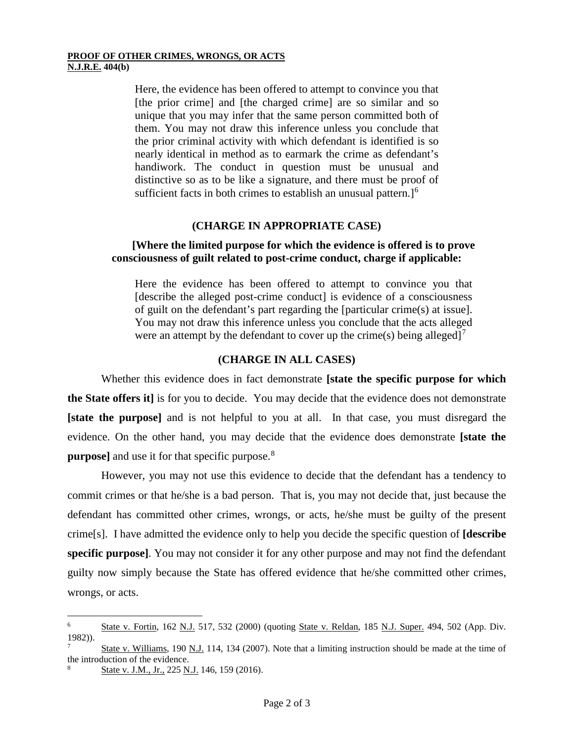Here, the evidence has been offered to attempt to convince you that [the prior crime] and [the charged crime] are so similar and so unique that you may infer that the same person committed both of them. You may not draw this inference unless you conclude that the prior criminal activity with which defendant is identified is so nearly identical in method as to earmark the crime as defendant's handiwork. The conduct in question must be unusual and distinctive so as to be like a signature, and there must be proof of sufficient facts in both crimes to establish an unusual pattern. $]^{6}$  $]^{6}$  $]^{6}$ 

#### **(CHARGE IN APPROPRIATE CASE)**

# **[Where the limited purpose for which the evidence is offered is to prove consciousness of guilt related to post-crime conduct, charge if applicable:**

Here the evidence has been offered to attempt to convince you that [describe the alleged post-crime conduct] is evidence of a consciousness of guilt on the defendant's part regarding the [particular crime(s) at issue]. You may not draw this inference unless you conclude that the acts alleged were an attempt by the defendant to cover up the crime(s) being alleged]<sup>[7](#page-1-1)</sup>

## **(CHARGE IN ALL CASES)**

Whether this evidence does in fact demonstrate **[state the specific purpose for which the State offers it]** is for you to decide. You may decide that the evidence does not demonstrate **[state the purpose]** and is not helpful to you at all. In that case, you must disregard the evidence. On the other hand, you may decide that the evidence does demonstrate **[state the purpose**] and use it for that specific purpose.<sup>[8](#page-1-2)</sup>

However, you may not use this evidence to decide that the defendant has a tendency to commit crimes or that he/she is a bad person. That is, you may not decide that, just because the defendant has committed other crimes, wrongs, or acts, he/she must be guilty of the present crime[s]. I have admitted the evidence only to help you decide the specific question of **[describe specific purpose]**. You may not consider it for any other purpose and may not find the defendant guilty now simply because the State has offered evidence that he/she committed other crimes, wrongs, or acts.

<span id="page-1-0"></span><sup>&</sup>lt;sup>6</sup> State <u>v. Fortin, 162 N.J.</u> 517, 532 (2000) (quoting State v. Reldan, 185 N.J. Super. 494, 502 (App. Div. 1982)).

<span id="page-1-1"></span>State v. Williams, 190 N.J. 114, 134 (2007). Note that a limiting instruction should be made at the time of the introduction of the evidence.

<span id="page-1-2"></span>State v. J.M., Jr., 225 N.J. 146, 159 (2016).